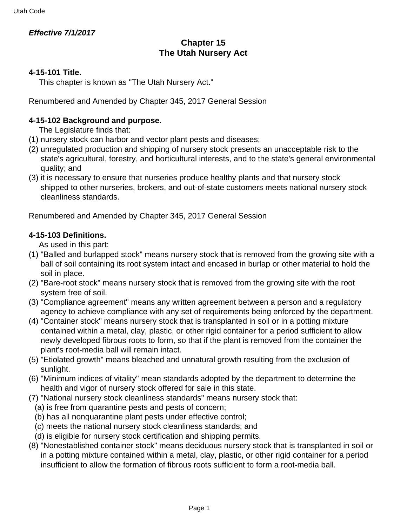## **Effective 7/1/2017**

# **Chapter 15 The Utah Nursery Act**

## **4-15-101 Title.**

This chapter is known as "The Utah Nursery Act."

Renumbered and Amended by Chapter 345, 2017 General Session

## **4-15-102 Background and purpose.**

The Legislature finds that:

- (1) nursery stock can harbor and vector plant pests and diseases;
- (2) unregulated production and shipping of nursery stock presents an unacceptable risk to the state's agricultural, forestry, and horticultural interests, and to the state's general environmental quality; and
- (3) it is necessary to ensure that nurseries produce healthy plants and that nursery stock shipped to other nurseries, brokers, and out-of-state customers meets national nursery stock cleanliness standards.

Renumbered and Amended by Chapter 345, 2017 General Session

## **4-15-103 Definitions.**

As used in this part:

- (1) "Balled and burlapped stock" means nursery stock that is removed from the growing site with a ball of soil containing its root system intact and encased in burlap or other material to hold the soil in place.
- (2) "Bare-root stock" means nursery stock that is removed from the growing site with the root system free of soil.
- (3) "Compliance agreement" means any written agreement between a person and a regulatory agency to achieve compliance with any set of requirements being enforced by the department.
- (4) "Container stock" means nursery stock that is transplanted in soil or in a potting mixture contained within a metal, clay, plastic, or other rigid container for a period sufficient to allow newly developed fibrous roots to form, so that if the plant is removed from the container the plant's root-media ball will remain intact.
- (5) "Etiolated growth" means bleached and unnatural growth resulting from the exclusion of sunlight.
- (6) "Minimum indices of vitality" mean standards adopted by the department to determine the health and vigor of nursery stock offered for sale in this state.
- (7) "National nursery stock cleanliness standards" means nursery stock that:
	- (a) is free from quarantine pests and pests of concern;
	- (b) has all nonquarantine plant pests under effective control;
	- (c) meets the national nursery stock cleanliness standards; and
- (d) is eligible for nursery stock certification and shipping permits.
- (8) "Nonestablished container stock" means deciduous nursery stock that is transplanted in soil or in a potting mixture contained within a metal, clay, plastic, or other rigid container for a period insufficient to allow the formation of fibrous roots sufficient to form a root-media ball.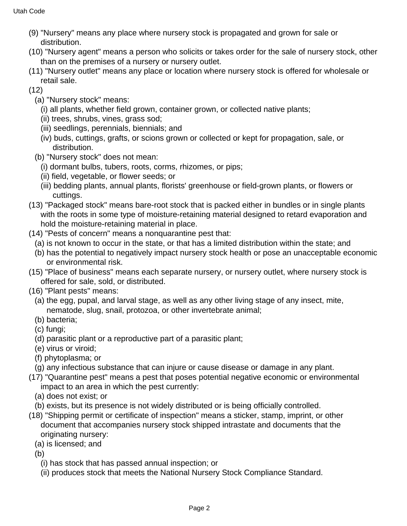- (9) "Nursery" means any place where nursery stock is propagated and grown for sale or distribution.
- (10) "Nursery agent" means a person who solicits or takes order for the sale of nursery stock, other than on the premises of a nursery or nursery outlet.
- (11) "Nursery outlet" means any place or location where nursery stock is offered for wholesale or retail sale.
- $(12)$ 
	- (a) "Nursery stock" means:
		- (i) all plants, whether field grown, container grown, or collected native plants;
		- (ii) trees, shrubs, vines, grass sod;
		- (iii) seedlings, perennials, biennials; and
		- (iv) buds, cuttings, grafts, or scions grown or collected or kept for propagation, sale, or distribution.
	- (b) "Nursery stock" does not mean:
		- (i) dormant bulbs, tubers, roots, corms, rhizomes, or pips;
		- (ii) field, vegetable, or flower seeds; or
		- (iii) bedding plants, annual plants, florists' greenhouse or field-grown plants, or flowers or cuttings.
- (13) "Packaged stock" means bare-root stock that is packed either in bundles or in single plants with the roots in some type of moisture-retaining material designed to retard evaporation and hold the moisture-retaining material in place.
- (14) "Pests of concern" means a nonquarantine pest that:
	- (a) is not known to occur in the state, or that has a limited distribution within the state; and
	- (b) has the potential to negatively impact nursery stock health or pose an unacceptable economic or environmental risk.
- (15) "Place of business" means each separate nursery, or nursery outlet, where nursery stock is offered for sale, sold, or distributed.
- (16) "Plant pests" means:
	- (a) the egg, pupal, and larval stage, as well as any other living stage of any insect, mite, nematode, slug, snail, protozoa, or other invertebrate animal;
	- (b) bacteria;
	- (c) fungi;
	- (d) parasitic plant or a reproductive part of a parasitic plant;
	- (e) virus or viroid;
	- (f) phytoplasma; or
	- (g) any infectious substance that can injure or cause disease or damage in any plant.
- (17) "Quarantine pest" means a pest that poses potential negative economic or environmental impact to an area in which the pest currently:
	- (a) does not exist; or
- (b) exists, but its presence is not widely distributed or is being officially controlled.
- (18) "Shipping permit or certificate of inspection" means a sticker, stamp, imprint, or other document that accompanies nursery stock shipped intrastate and documents that the originating nursery:
	- (a) is licensed; and
	- (b)
		- (i) has stock that has passed annual inspection; or
		- (ii) produces stock that meets the National Nursery Stock Compliance Standard.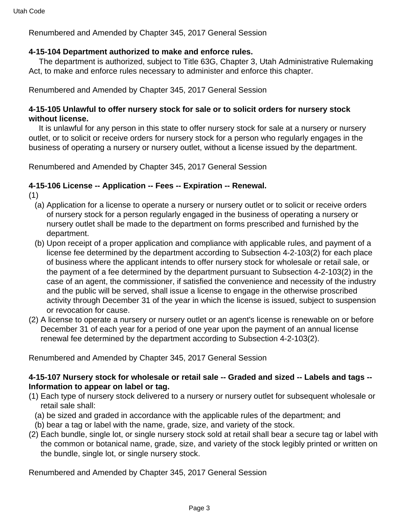Renumbered and Amended by Chapter 345, 2017 General Session

## **4-15-104 Department authorized to make and enforce rules.**

 The department is authorized, subject to Title 63G, Chapter 3, Utah Administrative Rulemaking Act, to make and enforce rules necessary to administer and enforce this chapter.

Renumbered and Amended by Chapter 345, 2017 General Session

#### **4-15-105 Unlawful to offer nursery stock for sale or to solicit orders for nursery stock without license.**

 It is unlawful for any person in this state to offer nursery stock for sale at a nursery or nursery outlet, or to solicit or receive orders for nursery stock for a person who regularly engages in the business of operating a nursery or nursery outlet, without a license issued by the department.

Renumbered and Amended by Chapter 345, 2017 General Session

#### **4-15-106 License -- Application -- Fees -- Expiration -- Renewal.**

- (1)
	- (a) Application for a license to operate a nursery or nursery outlet or to solicit or receive orders of nursery stock for a person regularly engaged in the business of operating a nursery or nursery outlet shall be made to the department on forms prescribed and furnished by the department.
	- (b) Upon receipt of a proper application and compliance with applicable rules, and payment of a license fee determined by the department according to Subsection 4-2-103(2) for each place of business where the applicant intends to offer nursery stock for wholesale or retail sale, or the payment of a fee determined by the department pursuant to Subsection 4-2-103(2) in the case of an agent, the commissioner, if satisfied the convenience and necessity of the industry and the public will be served, shall issue a license to engage in the otherwise proscribed activity through December 31 of the year in which the license is issued, subject to suspension or revocation for cause.
- (2) A license to operate a nursery or nursery outlet or an agent's license is renewable on or before December 31 of each year for a period of one year upon the payment of an annual license renewal fee determined by the department according to Subsection 4-2-103(2).

Renumbered and Amended by Chapter 345, 2017 General Session

## **4-15-107 Nursery stock for wholesale or retail sale -- Graded and sized -- Labels and tags -- Information to appear on label or tag.**

- (1) Each type of nursery stock delivered to a nursery or nursery outlet for subsequent wholesale or retail sale shall:
	- (a) be sized and graded in accordance with the applicable rules of the department; and
	- (b) bear a tag or label with the name, grade, size, and variety of the stock.
- (2) Each bundle, single lot, or single nursery stock sold at retail shall bear a secure tag or label with the common or botanical name, grade, size, and variety of the stock legibly printed or written on the bundle, single lot, or single nursery stock.

Renumbered and Amended by Chapter 345, 2017 General Session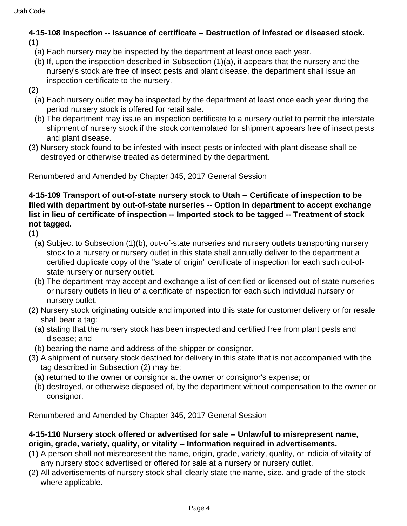#### **4-15-108 Inspection -- Issuance of certificate -- Destruction of infested or diseased stock.** (1)

- (a) Each nursery may be inspected by the department at least once each year.
- (b) If, upon the inspection described in Subsection (1)(a), it appears that the nursery and the nursery's stock are free of insect pests and plant disease, the department shall issue an inspection certificate to the nursery.
- (2)
	- (a) Each nursery outlet may be inspected by the department at least once each year during the period nursery stock is offered for retail sale.
	- (b) The department may issue an inspection certificate to a nursery outlet to permit the interstate shipment of nursery stock if the stock contemplated for shipment appears free of insect pests and plant disease.
- (3) Nursery stock found to be infested with insect pests or infected with plant disease shall be destroyed or otherwise treated as determined by the department.

Renumbered and Amended by Chapter 345, 2017 General Session

#### **4-15-109 Transport of out-of-state nursery stock to Utah -- Certificate of inspection to be filed with department by out-of-state nurseries -- Option in department to accept exchange list in lieu of certificate of inspection -- Imported stock to be tagged -- Treatment of stock not tagged.**

(1)

- (a) Subject to Subsection (1)(b), out-of-state nurseries and nursery outlets transporting nursery stock to a nursery or nursery outlet in this state shall annually deliver to the department a certified duplicate copy of the "state of origin" certificate of inspection for each such out-ofstate nursery or nursery outlet.
- (b) The department may accept and exchange a list of certified or licensed out-of-state nurseries or nursery outlets in lieu of a certificate of inspection for each such individual nursery or nursery outlet.
- (2) Nursery stock originating outside and imported into this state for customer delivery or for resale shall bear a tag:
	- (a) stating that the nursery stock has been inspected and certified free from plant pests and disease; and
	- (b) bearing the name and address of the shipper or consignor.
- (3) A shipment of nursery stock destined for delivery in this state that is not accompanied with the tag described in Subsection (2) may be:
	- (a) returned to the owner or consignor at the owner or consignor's expense; or
	- (b) destroyed, or otherwise disposed of, by the department without compensation to the owner or consignor.

Renumbered and Amended by Chapter 345, 2017 General Session

## **4-15-110 Nursery stock offered or advertised for sale -- Unlawful to misrepresent name, origin, grade, variety, quality, or vitality -- Information required in advertisements.**

- (1) A person shall not misrepresent the name, origin, grade, variety, quality, or indicia of vitality of any nursery stock advertised or offered for sale at a nursery or nursery outlet.
- (2) All advertisements of nursery stock shall clearly state the name, size, and grade of the stock where applicable.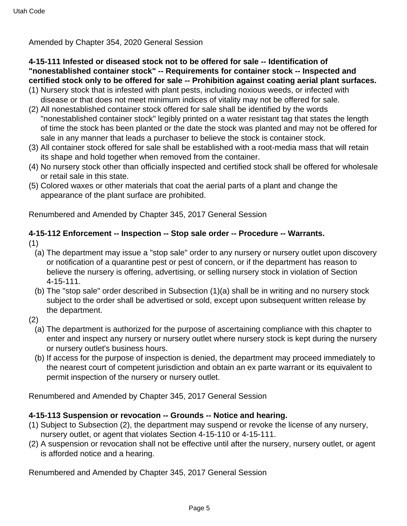Amended by Chapter 354, 2020 General Session

## **4-15-111 Infested or diseased stock not to be offered for sale -- Identification of "nonestablished container stock" -- Requirements for container stock -- Inspected and certified stock only to be offered for sale -- Prohibition against coating aerial plant surfaces.**

- (1) Nursery stock that is infested with plant pests, including noxious weeds, or infected with disease or that does not meet minimum indices of vitality may not be offered for sale.
- (2) All nonestablished container stock offered for sale shall be identified by the words "nonestablished container stock" legibly printed on a water resistant tag that states the length of time the stock has been planted or the date the stock was planted and may not be offered for sale in any manner that leads a purchaser to believe the stock is container stock.
- (3) All container stock offered for sale shall be established with a root-media mass that will retain its shape and hold together when removed from the container.
- (4) No nursery stock other than officially inspected and certified stock shall be offered for wholesale or retail sale in this state.
- (5) Colored waxes or other materials that coat the aerial parts of a plant and change the appearance of the plant surface are prohibited.

Renumbered and Amended by Chapter 345, 2017 General Session

# **4-15-112 Enforcement -- Inspection -- Stop sale order -- Procedure -- Warrants.**

- (1)
	- (a) The department may issue a "stop sale" order to any nursery or nursery outlet upon discovery or notification of a quarantine pest or pest of concern, or if the department has reason to believe the nursery is offering, advertising, or selling nursery stock in violation of Section 4-15-111.
	- (b) The "stop sale" order described in Subsection (1)(a) shall be in writing and no nursery stock subject to the order shall be advertised or sold, except upon subsequent written release by the department.
- (2)
	- (a) The department is authorized for the purpose of ascertaining compliance with this chapter to enter and inspect any nursery or nursery outlet where nursery stock is kept during the nursery or nursery outlet's business hours.
	- (b) If access for the purpose of inspection is denied, the department may proceed immediately to the nearest court of competent jurisdiction and obtain an ex parte warrant or its equivalent to permit inspection of the nursery or nursery outlet.

Renumbered and Amended by Chapter 345, 2017 General Session

## **4-15-113 Suspension or revocation -- Grounds -- Notice and hearing.**

- (1) Subject to Subsection (2), the department may suspend or revoke the license of any nursery, nursery outlet, or agent that violates Section 4-15-110 or 4-15-111.
- (2) A suspension or revocation shall not be effective until after the nursery, nursery outlet, or agent is afforded notice and a hearing.

Renumbered and Amended by Chapter 345, 2017 General Session